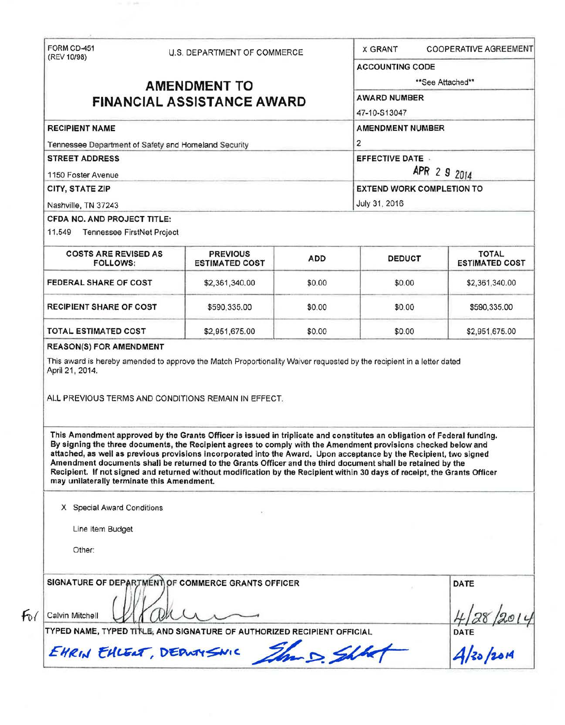| (REV 10/98)                                                                                                                                                                                                                                                                                                                                                                                                                                                                                                                                                                                                                                               | U.S. DEPARTMENT OF COMMERCE              |            | <b>X GRANT</b>                                            | <b>COOPERATIVE AGREEMENT</b>          |  |                        |  |  |                                  |  |  |
|-----------------------------------------------------------------------------------------------------------------------------------------------------------------------------------------------------------------------------------------------------------------------------------------------------------------------------------------------------------------------------------------------------------------------------------------------------------------------------------------------------------------------------------------------------------------------------------------------------------------------------------------------------------|------------------------------------------|------------|-----------------------------------------------------------|---------------------------------------|--|------------------------|--|--|----------------------------------|--|--|
|                                                                                                                                                                                                                                                                                                                                                                                                                                                                                                                                                                                                                                                           |                                          |            | <b>ACCOUNTING CODE</b>                                    |                                       |  |                        |  |  |                                  |  |  |
|                                                                                                                                                                                                                                                                                                                                                                                                                                                                                                                                                                                                                                                           | <b>AMENDMENT TO</b>                      |            | **See Attached**                                          |                                       |  |                        |  |  |                                  |  |  |
| <b>FINANCIAL ASSISTANCE AWARD</b>                                                                                                                                                                                                                                                                                                                                                                                                                                                                                                                                                                                                                         |                                          |            | <b>AWARD NUMBER</b>                                       |                                       |  |                        |  |  |                                  |  |  |
|                                                                                                                                                                                                                                                                                                                                                                                                                                                                                                                                                                                                                                                           |                                          |            | 47-10-S13047                                              |                                       |  |                        |  |  |                                  |  |  |
| <b>RECIPIENT NAME</b>                                                                                                                                                                                                                                                                                                                                                                                                                                                                                                                                                                                                                                     |                                          |            | <b>AMENDMENT NUMBER</b>                                   |                                       |  |                        |  |  |                                  |  |  |
| Tennessee Department of Safety and Homeland Security<br><b>STREET ADDRESS</b><br>1150 Foster Avenue                                                                                                                                                                                                                                                                                                                                                                                                                                                                                                                                                       |                                          |            | $\overline{2}$<br><b>EFFECTIVE DATE .</b><br>APR 2 9 2014 |                                       |  |                        |  |  |                                  |  |  |
|                                                                                                                                                                                                                                                                                                                                                                                                                                                                                                                                                                                                                                                           |                                          |            |                                                           |                                       |  | <b>CITY, STATE ZIP</b> |  |  | <b>EXTEND WORK COMPLETION TO</b> |  |  |
|                                                                                                                                                                                                                                                                                                                                                                                                                                                                                                                                                                                                                                                           |                                          |            |                                                           |                                       |  | Nashville, TN 37243    |  |  | July 31, 2016                    |  |  |
| CFDA NO. AND PROJECT TITLE:                                                                                                                                                                                                                                                                                                                                                                                                                                                                                                                                                                                                                               |                                          |            |                                                           |                                       |  |                        |  |  |                                  |  |  |
| 11.549 Tennessee FirstNet Project                                                                                                                                                                                                                                                                                                                                                                                                                                                                                                                                                                                                                         |                                          |            |                                                           |                                       |  |                        |  |  |                                  |  |  |
| <b>COSTS ARE REVISED AS</b><br><b>FOLLOWS:</b>                                                                                                                                                                                                                                                                                                                                                                                                                                                                                                                                                                                                            | <b>PREVIOUS</b><br><b>ESTIMATED COST</b> | <b>ADD</b> | <b>DEDUCT</b>                                             | <b>TOTAL</b><br><b>ESTIMATED COST</b> |  |                        |  |  |                                  |  |  |
| FEDERAL SHARE OF COST                                                                                                                                                                                                                                                                                                                                                                                                                                                                                                                                                                                                                                     | \$2,361,340.00                           | \$0.00     | \$0.00                                                    | \$2,361,340.00                        |  |                        |  |  |                                  |  |  |
| <b>RECIPIENT SHARE OF COST</b>                                                                                                                                                                                                                                                                                                                                                                                                                                                                                                                                                                                                                            | \$590,335.00                             | \$0.00     | \$0.00                                                    | \$590,335.00                          |  |                        |  |  |                                  |  |  |
|                                                                                                                                                                                                                                                                                                                                                                                                                                                                                                                                                                                                                                                           |                                          |            |                                                           |                                       |  |                        |  |  |                                  |  |  |
|                                                                                                                                                                                                                                                                                                                                                                                                                                                                                                                                                                                                                                                           | \$2,951,675.00                           | \$0.00     | \$0.00                                                    | \$2,951,675.00                        |  |                        |  |  |                                  |  |  |
| <b>TOTAL ESTIMATED COST</b><br><b>REASON(S) FOR AMENDMENT</b><br>This award is hereby amended to approve the Match Proportionality Waiver requested by the recipient in a letter dated<br>April 21, 2014.<br>ALL PREVIOUS TERMS AND CONDITIONS REMAIN IN EFFECT.                                                                                                                                                                                                                                                                                                                                                                                          |                                          |            |                                                           |                                       |  |                        |  |  |                                  |  |  |
| This Amendment approved by the Grants Officer is issued in triplicate and constitutes an obligation of Federal funding.<br>By signing the three documents, the Recipient agrees to comply with the Amendment provisions checked below and<br>attached, as well as previous provisions incorporated into the Award. Upon acceptance by the Recipient, two signed<br>Amendment documents shall be returned to the Grants Officer and the third document shall be retained by the<br>Recipient. If not signed and returned without modification by the Recipient within 30 days of receipt, the Grants Officer<br>may unilaterally terminate this Amendment. |                                          |            |                                                           |                                       |  |                        |  |  |                                  |  |  |
| X Special Award Conditions                                                                                                                                                                                                                                                                                                                                                                                                                                                                                                                                                                                                                                |                                          |            |                                                           |                                       |  |                        |  |  |                                  |  |  |
| Line Item Budget                                                                                                                                                                                                                                                                                                                                                                                                                                                                                                                                                                                                                                          |                                          |            |                                                           |                                       |  |                        |  |  |                                  |  |  |
| Other:                                                                                                                                                                                                                                                                                                                                                                                                                                                                                                                                                                                                                                                    |                                          |            |                                                           |                                       |  |                        |  |  |                                  |  |  |
| SIGNATURE OF DEPARTMENT OF COMMERCE GRANTS OFFICER<br>Calvin Mitchell                                                                                                                                                                                                                                                                                                                                                                                                                                                                                                                                                                                     |                                          |            |                                                           | DATE                                  |  |                        |  |  |                                  |  |  |
| TYPED NAME, TYPED TITLE, AND SIGNATURE OF AUTHORIZED RECIPIENT OFFICIAL                                                                                                                                                                                                                                                                                                                                                                                                                                                                                                                                                                                   |                                          |            |                                                           | DATE<br>$4/30/20M$                    |  |                        |  |  |                                  |  |  |